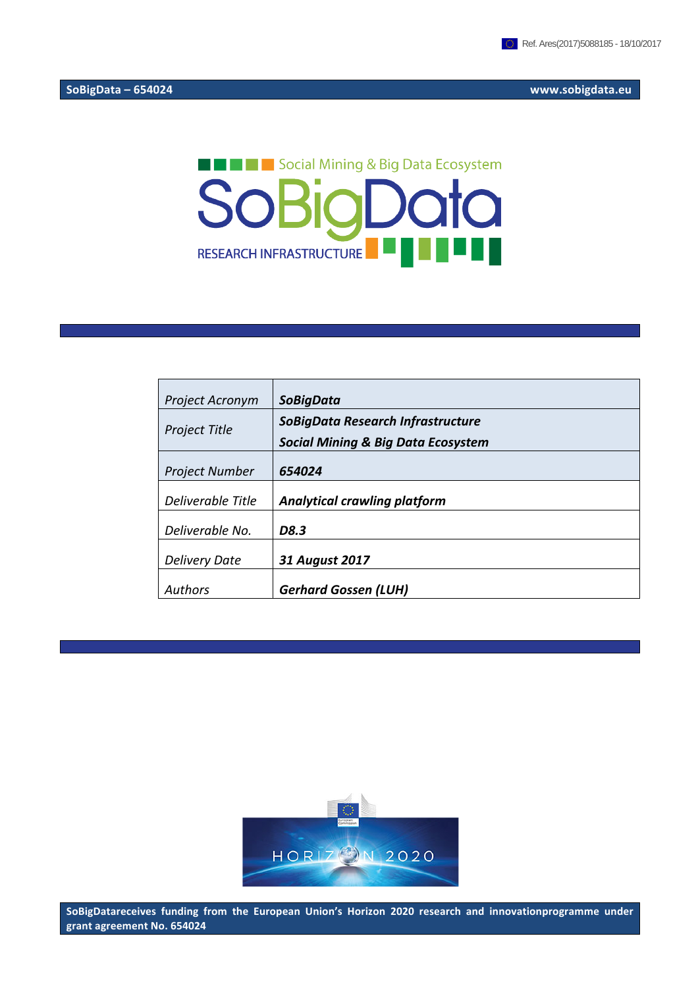# **THE EXECUTE Social Mining & Big Data Ecosystem** SoBigData RESEARCH INFRASTRUCTURE

| <b>Project Acronym</b> | <b>SoBigData</b>                              |
|------------------------|-----------------------------------------------|
| <b>Project Title</b>   | SoBigData Research Infrastructure             |
|                        | <b>Social Mining &amp; Big Data Ecosystem</b> |
| <b>Project Number</b>  | 654024                                        |
| Deliverable Title      | <b>Analytical crawling platform</b>           |
| Deliverable No.        | D8.3                                          |
| <b>Delivery Date</b>   | 31 August 2017                                |
| Authors                | <b>Gerhard Gossen (LUH)</b>                   |



SoBigDatareceives funding from the European Union's Horizon 2020 research and innovationprogramme under **grant agreement No. 654024**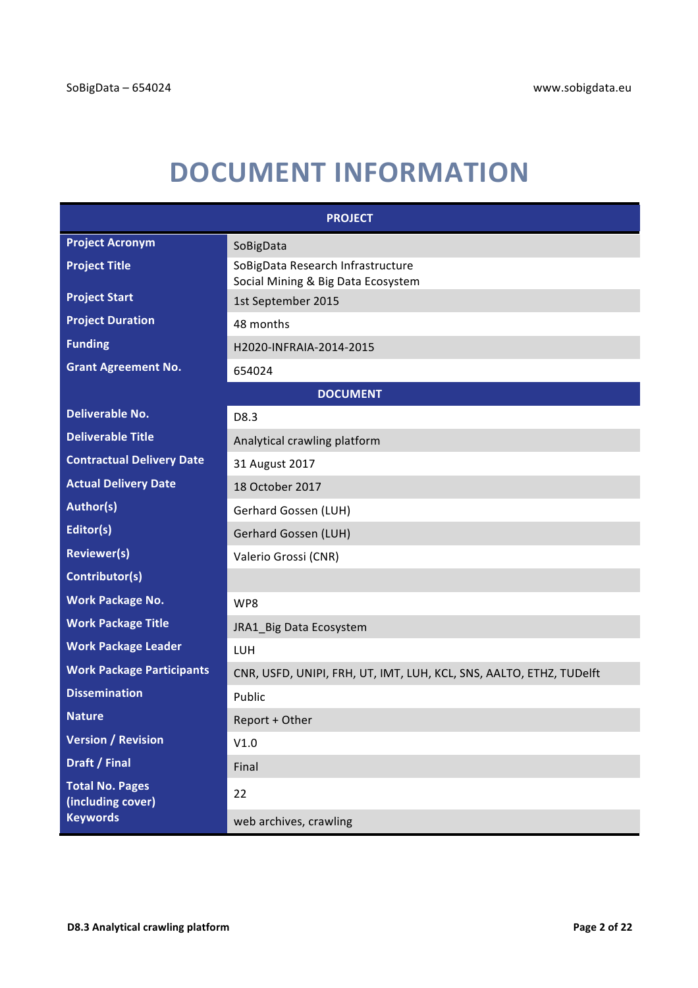## **DOCUMENT INFORMATION**

| <b>PROJECT</b>                              |                                                                         |  |  |  |  |
|---------------------------------------------|-------------------------------------------------------------------------|--|--|--|--|
| <b>Project Acronym</b>                      | SoBigData                                                               |  |  |  |  |
| <b>Project Title</b>                        | SoBigData Research Infrastructure<br>Social Mining & Big Data Ecosystem |  |  |  |  |
| <b>Project Start</b>                        | 1st September 2015                                                      |  |  |  |  |
| <b>Project Duration</b>                     | 48 months                                                               |  |  |  |  |
| <b>Funding</b>                              | H2020-INFRAIA-2014-2015                                                 |  |  |  |  |
| <b>Grant Agreement No.</b>                  | 654024                                                                  |  |  |  |  |
| <b>DOCUMENT</b>                             |                                                                         |  |  |  |  |
| <b>Deliverable No.</b>                      | D8.3                                                                    |  |  |  |  |
| <b>Deliverable Title</b>                    | Analytical crawling platform                                            |  |  |  |  |
| <b>Contractual Delivery Date</b>            | 31 August 2017                                                          |  |  |  |  |
| <b>Actual Delivery Date</b>                 | 18 October 2017                                                         |  |  |  |  |
| Author(s)<br>Gerhard Gossen (LUH)           |                                                                         |  |  |  |  |
| Editor(s)                                   | Gerhard Gossen (LUH)<br>Valerio Grossi (CNR)                            |  |  |  |  |
| <b>Reviewer(s)</b>                          |                                                                         |  |  |  |  |
| Contributor(s)                              |                                                                         |  |  |  |  |
| <b>Work Package No.</b>                     | WP8                                                                     |  |  |  |  |
| <b>Work Package Title</b>                   | JRA1_Big Data Ecosystem                                                 |  |  |  |  |
| <b>Work Package Leader</b>                  | <b>LUH</b>                                                              |  |  |  |  |
| <b>Work Package Participants</b>            | CNR, USFD, UNIPI, FRH, UT, IMT, LUH, KCL, SNS, AALTO, ETHZ, TUDelft     |  |  |  |  |
| <b>Dissemination</b>                        | Public                                                                  |  |  |  |  |
| <b>Nature</b>                               | Report + Other                                                          |  |  |  |  |
| <b>Version / Revision</b>                   | V1.0                                                                    |  |  |  |  |
| Draft / Final                               | Final                                                                   |  |  |  |  |
| <b>Total No. Pages</b><br>(including cover) | 22                                                                      |  |  |  |  |
| <b>Keywords</b>                             | web archives, crawling                                                  |  |  |  |  |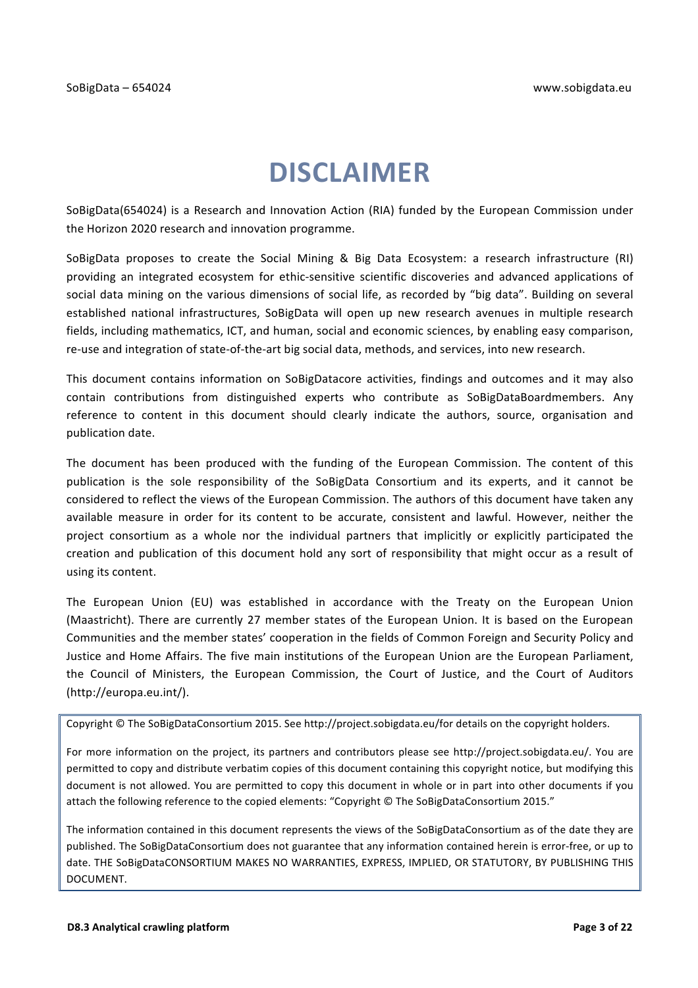## **DISCLAIMER**

SoBigData(654024) is a Research and Innovation Action (RIA) funded by the European Commission under the Horizon 2020 research and innovation programme.

SoBigData proposes to create the Social Mining & Big Data Ecosystem: a research infrastructure (RI) providing an integrated ecosystem for ethic-sensitive scientific discoveries and advanced applications of social data mining on the various dimensions of social life, as recorded by "big data". Building on several established national infrastructures, SoBigData will open up new research avenues in multiple research fields, including mathematics, ICT, and human, social and economic sciences, by enabling easy comparison, re-use and integration of state-of-the-art big social data, methods, and services, into new research.

This document contains information on SoBigDatacore activities, findings and outcomes and it may also contain contributions from distinguished experts who contribute as SoBigDataBoardmembers. Any reference to content in this document should clearly indicate the authors, source, organisation and publication date.

The document has been produced with the funding of the European Commission. The content of this publication is the sole responsibility of the SoBigData Consortium and its experts, and it cannot be considered to reflect the views of the European Commission. The authors of this document have taken any available measure in order for its content to be accurate, consistent and lawful. However, neither the project consortium as a whole nor the individual partners that implicitly or explicitly participated the creation and publication of this document hold any sort of responsibility that might occur as a result of using its content.

The European Union (EU) was established in accordance with the Treaty on the European Union (Maastricht). There are currently 27 member states of the European Union. It is based on the European Communities and the member states' cooperation in the fields of Common Foreign and Security Policy and Justice and Home Affairs. The five main institutions of the European Union are the European Parliament, the Council of Ministers, the European Commission, the Court of Justice, and the Court of Auditors (http://europa.eu.int/).

Copyright © The SoBigDataConsortium 2015. See http://project.sobigdata.eu/for details on the copyright holders.

For more information on the project, its partners and contributors please see http://project.sobigdata.eu/. You are permitted to copy and distribute verbatim copies of this document containing this copyright notice, but modifying this document is not allowed. You are permitted to copy this document in whole or in part into other documents if you attach the following reference to the copied elements: "Copyright © The SoBigDataConsortium 2015."

The information contained in this document represents the views of the SoBigDataConsortium as of the date they are published. The SoBigDataConsortium does not guarantee that any information contained herein is error-free, or up to date. THE SoBigDataCONSORTIUM MAKES NO WARRANTIES, EXPRESS, IMPLIED, OR STATUTORY, BY PUBLISHING THIS DOCUMENT.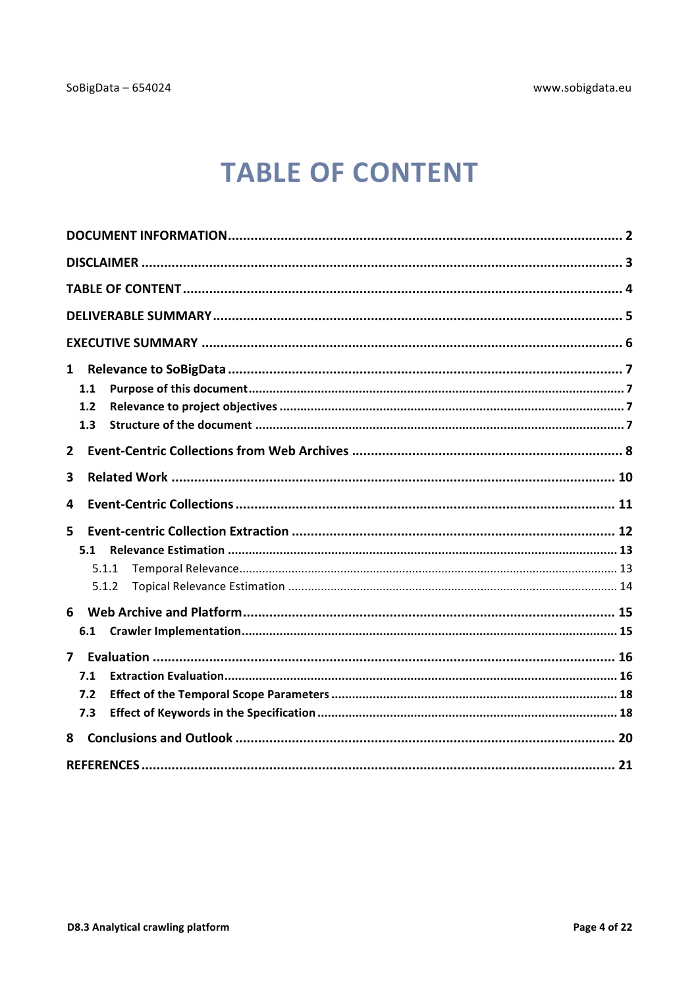## **TABLE OF CONTENT**

| 1<br>1.1<br>1.2<br>1.3 |  |
|------------------------|--|
| $\mathbf{2}$           |  |
| 3                      |  |
| 4                      |  |
| 5                      |  |
| 5.1                    |  |
| 5.1.1<br>5.1.2         |  |
| 6<br>6.1               |  |
| 7                      |  |
| 7.1                    |  |
| 7.2                    |  |
| 7.3                    |  |
| 8                      |  |
|                        |  |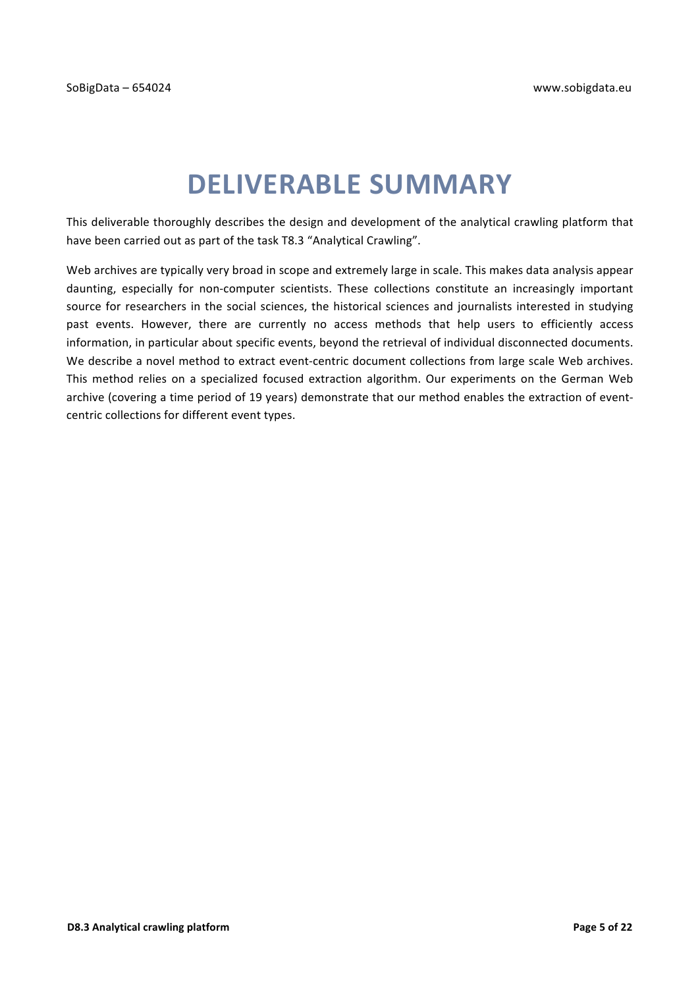## **DELIVERABLE SUMMARY**

This deliverable thoroughly describes the design and development of the analytical crawling platform that have been carried out as part of the task T8.3 "Analytical Crawling".

Web archives are typically very broad in scope and extremely large in scale. This makes data analysis appear daunting, especially for non-computer scientists. These collections constitute an increasingly important source for researchers in the social sciences, the historical sciences and journalists interested in studying past events. However, there are currently no access methods that help users to efficiently access information, in particular about specific events, beyond the retrieval of individual disconnected documents. We describe a novel method to extract event-centric document collections from large scale Web archives. This method relies on a specialized focused extraction algorithm. Our experiments on the German Web archive (covering a time period of 19 years) demonstrate that our method enables the extraction of eventcentric collections for different event types.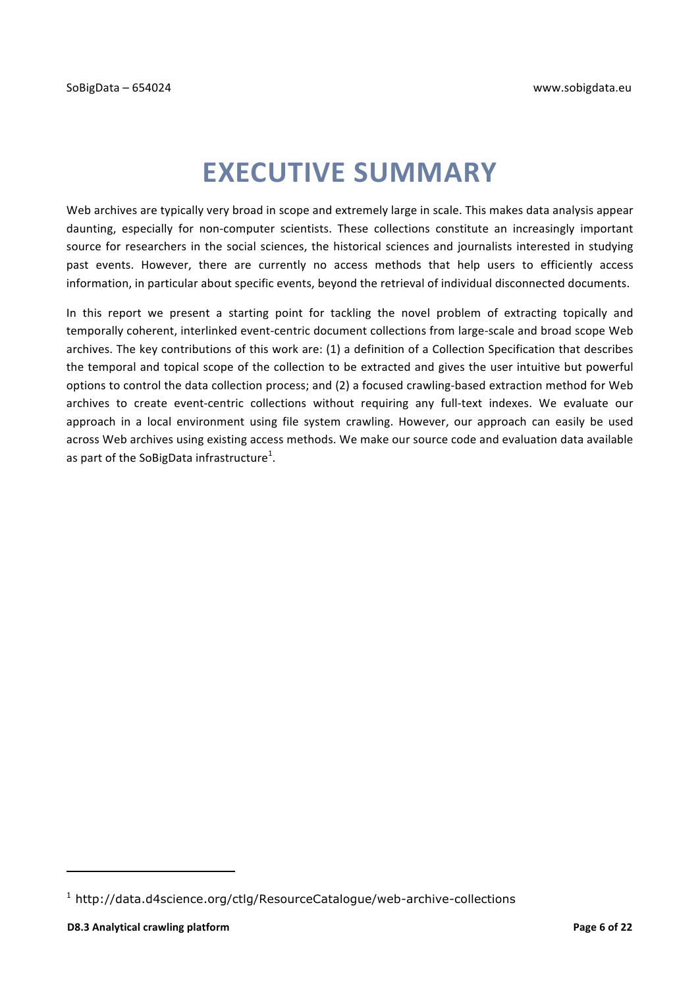## **EXECUTIVE SUMMARY**

Web archives are typically very broad in scope and extremely large in scale. This makes data analysis appear daunting, especially for non-computer scientists. These collections constitute an increasingly important source for researchers in the social sciences, the historical sciences and journalists interested in studying past events. However, there are currently no access methods that help users to efficiently access information, in particular about specific events, beyond the retrieval of individual disconnected documents.

In this report we present a starting point for tackling the novel problem of extracting topically and temporally coherent, interlinked event-centric document collections from large-scale and broad scope Web archives. The key contributions of this work are: (1) a definition of a Collection Specification that describes the temporal and topical scope of the collection to be extracted and gives the user intuitive but powerful options to control the data collection process; and (2) a focused crawling-based extraction method for Web archives to create event-centric collections without requiring any full-text indexes. We evaluate our approach in a local environment using file system crawling. However, our approach can easily be used across Web archives using existing access methods. We make our source code and evaluation data available as part of the SoBigData infrastructure<sup>1</sup>.

<u> 1989 - Jan Samuel Barbara, margaret e</u>

<sup>&</sup>lt;sup>1</sup> http://data.d4science.org/ctlg/ResourceCatalogue/web-archive-collections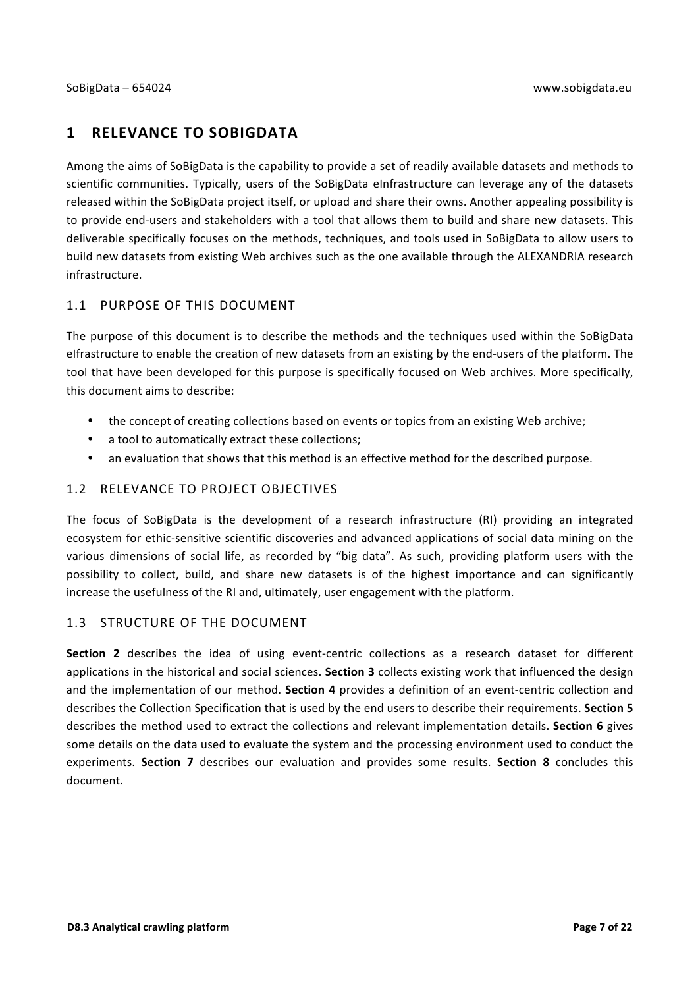### **1 RELEVANCE TO SOBIGDATA**

Among the aims of SoBigData is the capability to provide a set of readily available datasets and methods to scientific communities. Typically, users of the SoBigData eInfrastructure can leverage any of the datasets released within the SoBigData project itself, or upload and share their owns. Another appealing possibility is to provide end-users and stakeholders with a tool that allows them to build and share new datasets. This deliverable specifically focuses on the methods, techniques, and tools used in SoBigData to allow users to build new datasets from existing Web archives such as the one available through the ALEXANDRIA research infrastructure.

#### 1.1 PURPOSE OF THIS DOCUMENT

The purpose of this document is to describe the methods and the techniques used within the SoBigData elfrastructure to enable the creation of new datasets from an existing by the end-users of the platform. The tool that have been developed for this purpose is specifically focused on Web archives. More specifically, this document aims to describe:

- the concept of creating collections based on events or topics from an existing Web archive;
- a tool to automatically extract these collections;
- an evaluation that shows that this method is an effective method for the described purpose.

#### 1.2 RELEVANCE TO PROJECT OBJECTIVES

The focus of SoBigData is the development of a research infrastructure (RI) providing an integrated ecosystem for ethic-sensitive scientific discoveries and advanced applications of social data mining on the various dimensions of social life, as recorded by "big data". As such, providing platform users with the possibility to collect, build, and share new datasets is of the highest importance and can significantly increase the usefulness of the RI and, ultimately, user engagement with the platform.

#### 1.3 STRUCTURE OF THE DOCUMENT

Section 2 describes the idea of using event-centric collections as a research dataset for different applications in the historical and social sciences. **Section 3** collects existing work that influenced the design and the implementation of our method. **Section 4** provides a definition of an event-centric collection and describes the Collection Specification that is used by the end users to describe their requirements. Section 5 describes the method used to extract the collections and relevant implementation details. **Section 6** gives some details on the data used to evaluate the system and the processing environment used to conduct the experiments. **Section 7** describes our evaluation and provides some results. **Section 8** concludes this document.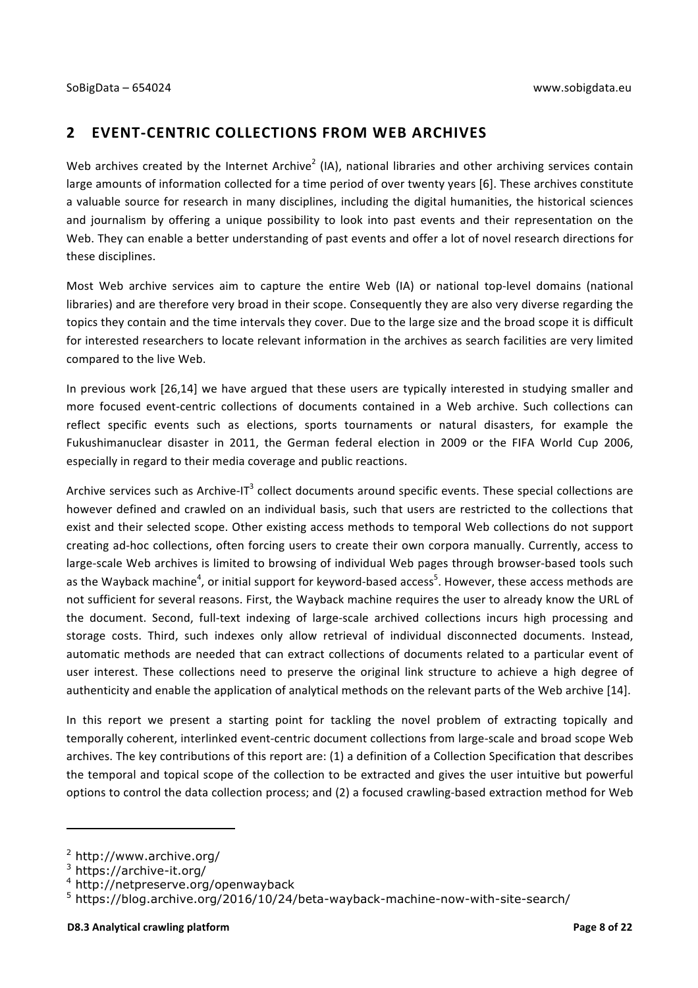## **2 EVENT-CENTRIC COLLECTIONS FROM WEB ARCHIVES**

Web archives created by the Internet Archive<sup>2</sup> (IA), national libraries and other archiving services contain large amounts of information collected for a time period of over twenty years [6]. These archives constitute a valuable source for research in many disciplines, including the digital humanities, the historical sciences and journalism by offering a unique possibility to look into past events and their representation on the Web. They can enable a better understanding of past events and offer a lot of novel research directions for these disciplines.

Most Web archive services aim to capture the entire Web (IA) or national top-level domains (national libraries) and are therefore very broad in their scope. Consequently they are also very diverse regarding the topics they contain and the time intervals they cover. Due to the large size and the broad scope it is difficult for interested researchers to locate relevant information in the archives as search facilities are very limited compared to the live Web.

In previous work [26,14] we have argued that these users are typically interested in studying smaller and more focused event-centric collections of documents contained in a Web archive. Such collections can reflect specific events such as elections, sports tournaments or natural disasters, for example the Fukushimanuclear disaster in 2011, the German federal election in 2009 or the FIFA World Cup 2006, especially in regard to their media coverage and public reactions.

Archive services such as Archive-IT<sup>3</sup> collect documents around specific events. These special collections are however defined and crawled on an individual basis, such that users are restricted to the collections that exist and their selected scope. Other existing access methods to temporal Web collections do not support creating ad-hoc collections, often forcing users to create their own corpora manually. Currently, access to large-scale Web archives is limited to browsing of individual Web pages through browser-based tools such as the Wayback machine<sup>4</sup>, or initial support for keyword-based access<sup>5</sup>. However, these access methods are not sufficient for several reasons. First, the Wayback machine requires the user to already know the URL of the document. Second, full-text indexing of large-scale archived collections incurs high processing and storage costs. Third, such indexes only allow retrieval of individual disconnected documents. Instead, automatic methods are needed that can extract collections of documents related to a particular event of user interest. These collections need to preserve the original link structure to achieve a high degree of authenticity and enable the application of analytical methods on the relevant parts of the Web archive [14].

In this report we present a starting point for tackling the novel problem of extracting topically and temporally coherent, interlinked event-centric document collections from large-scale and broad scope Web archives. The key contributions of this report are: (1) a definition of a Collection Specification that describes the temporal and topical scope of the collection to be extracted and gives the user intuitive but powerful options to control the data collection process; and (2) a focused crawling-based extraction method for Web

<u> 1989 - Jan Samuel Barbara, margaret e</u>

<sup>2</sup> http://www.archive.org/

<sup>3</sup> https://archive-it.org/

<sup>4</sup> http://netpreserve.org/openwayback

<sup>5</sup> https://blog.archive.org/2016/10/24/beta-wayback-machine-now-with-site-search/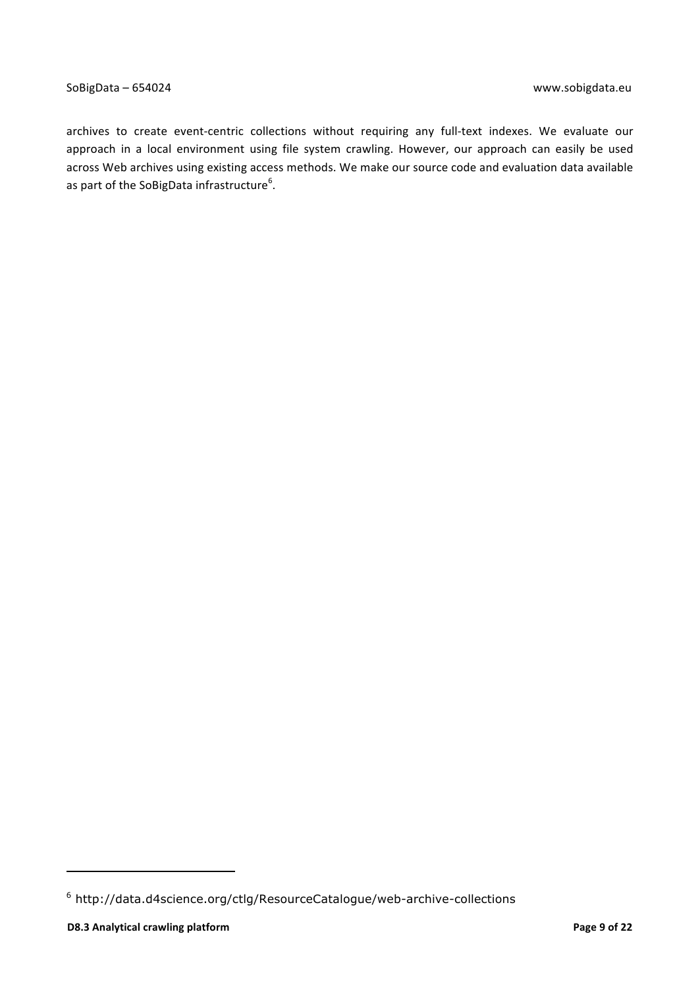archives to create event-centric collections without requiring any full-text indexes. We evaluate our approach in a local environment using file system crawling. However, our approach can easily be used across Web archives using existing access methods. We make our source code and evaluation data available as part of the SoBigData infrastructure<sup>6</sup>.

<u> 1989 - Jan Samuel Barbara, margaret e</u>

<sup>6</sup> http://data.d4science.org/ctlg/ResourceCatalogue/web-archive-collections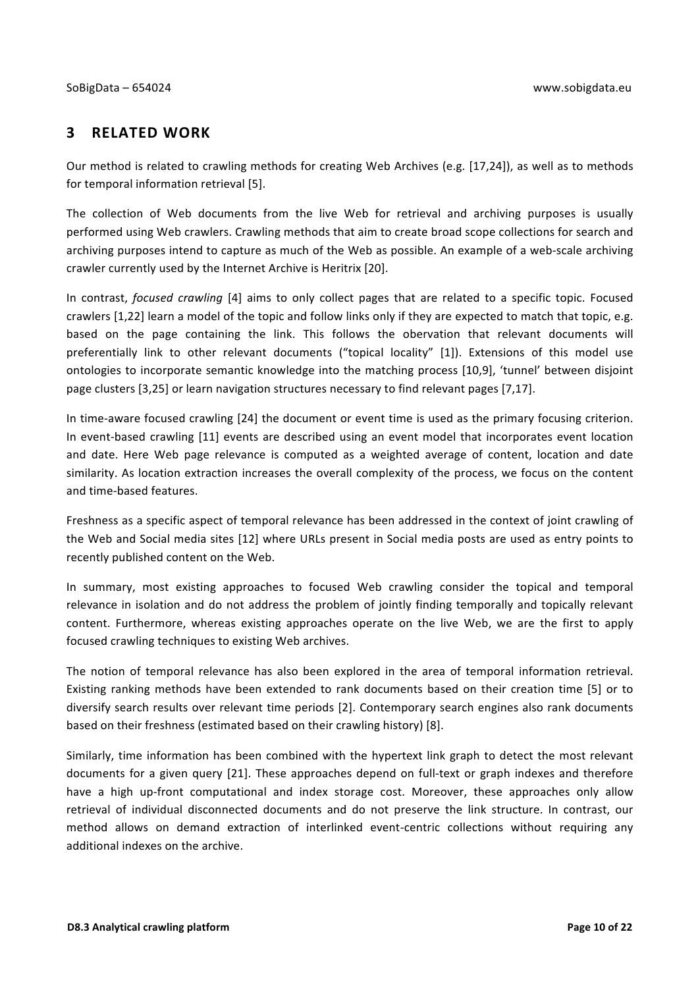### **3 RELATED WORK**

Our method is related to crawling methods for creating Web Archives (e.g. [17,24]), as well as to methods for temporal information retrieval [5].

The collection of Web documents from the live Web for retrieval and archiving purposes is usually performed using Web crawlers. Crawling methods that aim to create broad scope collections for search and archiving purposes intend to capture as much of the Web as possible. An example of a web-scale archiving crawler currently used by the Internet Archive is Heritrix [20].

In contrast, *focused crawling* [4] aims to only collect pages that are related to a specific topic. Focused crawlers [1,22] learn a model of the topic and follow links only if they are expected to match that topic, e.g. based on the page containing the link. This follows the obervation that relevant documents will preferentially link to other relevant documents ("topical locality" [1]). Extensions of this model use ontologies to incorporate semantic knowledge into the matching process [10,9], 'tunnel' between disjoint page clusters [3,25] or learn navigation structures necessary to find relevant pages [7,17].

In time-aware focused crawling [24] the document or event time is used as the primary focusing criterion. In event-based crawling [11] events are described using an event model that incorporates event location and date. Here Web page relevance is computed as a weighted average of content, location and date similarity. As location extraction increases the overall complexity of the process, we focus on the content and time-based features.

Freshness as a specific aspect of temporal relevance has been addressed in the context of joint crawling of the Web and Social media sites [12] where URLs present in Social media posts are used as entry points to recently published content on the Web.

In summary, most existing approaches to focused Web crawling consider the topical and temporal relevance in isolation and do not address the problem of jointly finding temporally and topically relevant content. Furthermore, whereas existing approaches operate on the live Web, we are the first to apply focused crawling techniques to existing Web archives.

The notion of temporal relevance has also been explored in the area of temporal information retrieval. Existing ranking methods have been extended to rank documents based on their creation time [5] or to diversify search results over relevant time periods [2]. Contemporary search engines also rank documents based on their freshness (estimated based on their crawling history) [8].

Similarly, time information has been combined with the hypertext link graph to detect the most relevant documents for a given query [21]. These approaches depend on full-text or graph indexes and therefore have a high up-front computational and index storage cost. Moreover, these approaches only allow retrieval of individual disconnected documents and do not preserve the link structure. In contrast, our method allows on demand extraction of interlinked event-centric collections without requiring any additional indexes on the archive.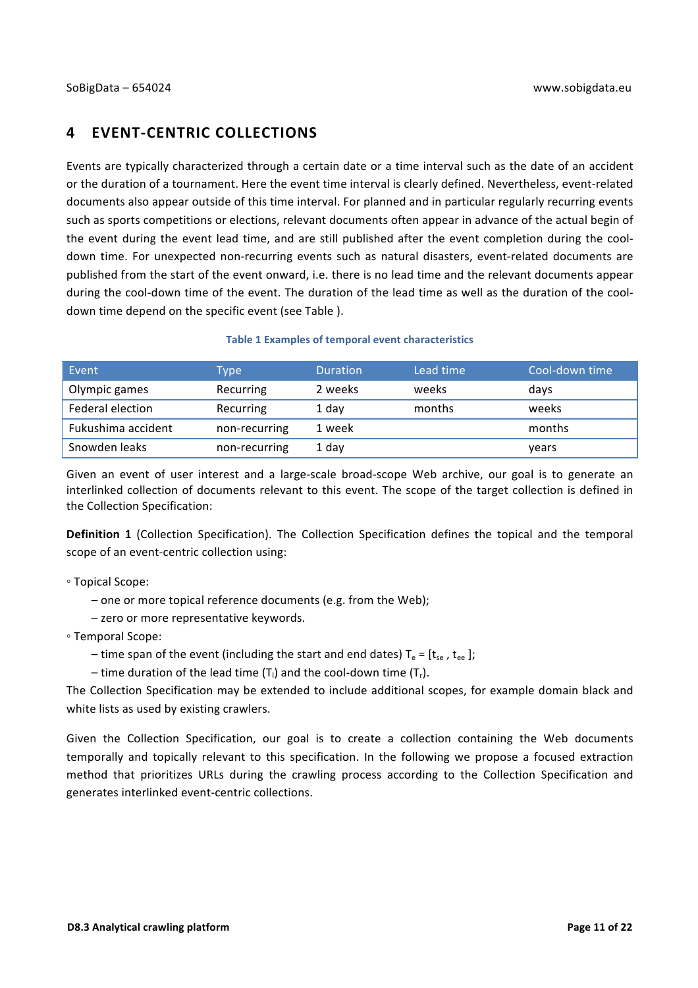### **4 EVENT-CENTRIC COLLECTIONS**

Events are typically characterized through a certain date or a time interval such as the date of an accident or the duration of a tournament. Here the event time interval is clearly defined. Nevertheless, event-related documents also appear outside of this time interval. For planned and in particular regularly recurring events such as sports competitions or elections, relevant documents often appear in advance of the actual begin of the event during the event lead time, and are still published after the event completion during the cooldown time. For unexpected non-recurring events such as natural disasters, event-related documents are published from the start of the event onward, i.e. there is no lead time and the relevant documents appear during the cool-down time of the event. The duration of the lead time as well as the duration of the cooldown time depend on the specific event (see Table ).

#### **Table 1 Examples of temporal event characteristics**

| Event              | <b>Type</b>   | <b>Duration</b> | Lead time | Cool-down time |
|--------------------|---------------|-----------------|-----------|----------------|
| Olympic games      | Recurring     | 2 weeks         | weeks     | days           |
| Federal election   | Recurring     | 1 day           | months    | weeks          |
| Fukushima accident | non-recurring | 1 week          |           | months         |
| Snowden leaks      | non-recurring | 1 dav           |           | vears          |

Given an event of user interest and a large-scale broad-scope Web archive, our goal is to generate an interlinked collection of documents relevant to this event. The scope of the target collection is defined in the Collection Specification:

**Definition 1** (Collection Specification). The Collection Specification defines the topical and the temporal scope of an event-centric collection using:

◦ Topical Scope:

- one or more topical reference documents (e.g. from the Web);
- zero or more representative keywords.
- ◦ Temporal Scope:
	- time span of the event (including the start and end dates)  $T_e = [t_{se}, t_{ee}]$ ;
	- time duration of the lead time  $(T_1)$  and the cool-down time  $(T_r)$ .

The Collection Specification may be extended to include additional scopes, for example domain black and white lists as used by existing crawlers.

Given the Collection Specification, our goal is to create a collection containing the Web documents temporally and topically relevant to this specification. In the following we propose a focused extraction method that prioritizes URLs during the crawling process according to the Collection Specification and generates interlinked event-centric collections.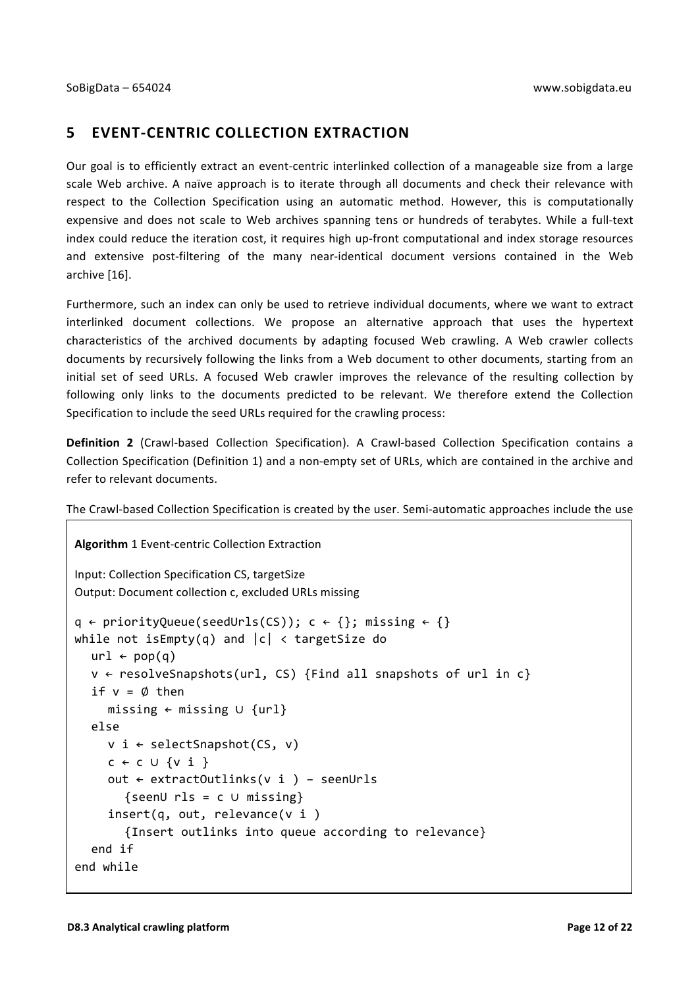### **5 EVENT-CENTRIC COLLECTION EXTRACTION**

Our goal is to efficiently extract an event-centric interlinked collection of a manageable size from a large scale Web archive. A naïve approach is to iterate through all documents and check their relevance with respect to the Collection Specification using an automatic method. However, this is computationally expensive and does not scale to Web archives spanning tens or hundreds of terabytes. While a full-text index could reduce the iteration cost, it requires high up-front computational and index storage resources and extensive post-filtering of the many near-identical document versions contained in the Web archive [16].

Furthermore, such an index can only be used to retrieve individual documents, where we want to extract interlinked document collections. We propose an alternative approach that uses the hypertext characteristics of the archived documents by adapting focused Web crawling. A Web crawler collects documents by recursively following the links from a Web document to other documents, starting from an initial set of seed URLs. A focused Web crawler improves the relevance of the resulting collection by following only links to the documents predicted to be relevant. We therefore extend the Collection Specification to include the seed URLs required for the crawling process:

**Definition 2** (Crawl-based Collection Specification). A Crawl-based Collection Specification contains a Collection Specification (Definition 1) and a non-empty set of URLs, which are contained in the archive and refer to relevant documents.

The Crawl-based Collection Specification is created by the user. Semi-automatic approaches include the use

```
Algorithm 1 Event-centric Collection Extraction
Input: Collection Specification CS, targetSize
Output: Document collection c, excluded URLs missing
q \leftarrow priorityQueue(seedUrls(CS)); c \leftarrow \{\}; missing \leftarrow \{\}while not isEmpty(q) and |c| \lt targetSize do
  url \leftarrow pop(q)v \leftarrow resolveSnapshots(url, CS) {Find all snapshots of url in c}
  if v = \emptyset then
     missing \leftarrow missing ∪ {url}
  else
     v i \leftarrow selectSnapshot(CS, v)
     c ← c ∪ {v i }
     out	←	extractOutlinks(v	i	)	−	seenUrls	
        {seenU rls = c \cup missing}insert(q, out, relevance(v i)){Insert outlinks into queue according to relevance}
  end	if
end	while
```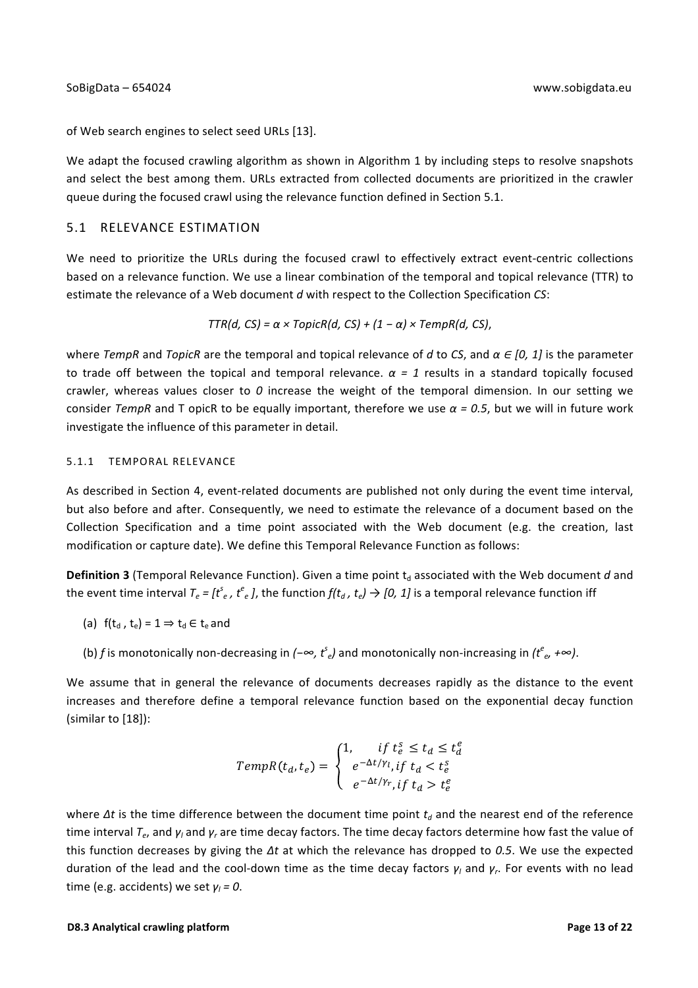of Web search engines to select seed URLs [13].

We adapt the focused crawling algorithm as shown in Algorithm 1 by including steps to resolve snapshots and select the best among them. URLs extracted from collected documents are prioritized in the crawler queue during the focused crawl using the relevance function defined in Section 5.1.

#### 5.1 RELEVANCE ESTIMATION

We need to prioritize the URLs during the focused crawl to effectively extract event-centric collections based on a relevance function. We use a linear combination of the temporal and topical relevance (TTR) to estimate the relevance of a Web document *d* with respect to the Collection Specification *CS*:

$$
TTR(d, CS) = \alpha \times TopicR(d, CS) + (1 - \alpha) \times TempR(d, CS),
$$

where *TempR* and *TopicR* are the temporal and topical relevance of *d* to *CS*, and  $\alpha \in [0, 1]$  is the parameter to trade off between the topical and temporal relevance.  $\alpha = 1$  results in a standard topically focused crawler, whereas values closer to  $0$  increase the weight of the temporal dimension. In our setting we consider *TempR* and T opicR to be equally important, therefore we use  $\alpha = 0.5$ , but we will in future work investigate the influence of this parameter in detail.

#### 5.1.1 TEMPORAL RELEVANCE

As described in Section 4, event-related documents are published not only during the event time interval, but also before and after. Consequently, we need to estimate the relevance of a document based on the Collection Specification and a time point associated with the Web document (e.g. the creation, last modification or capture date). We define this Temporal Relevance Function as follows:

**Definition 3** (Temporal Relevance Function). Given a time point t<sub>d</sub> associated with the Web document *d* and the event time interval  $T_e$  =  $[t^s_e, t^e_e]$ , the function  $f(t_d, t_e) \to [0, 1]$  is a temporal relevance function iff

- (a)  $f(t_d, t_e) = 1 \Rightarrow t_d \in t_e$  and
- (b) *f* is monotonically non-decreasing in (-∞,  $t^s$ <sub>e</sub>) and monotonically non-increasing in ( $t^e$ <sub>e</sub>, +∞).

We assume that in general the relevance of documents decreases rapidly as the distance to the event increases and therefore define a temporal relevance function based on the exponential decay function (similar to  $[18]$ ):

$$
TempR(t_d, t_e) = \begin{cases} 1, & \text{if } t_e^s \le t_d \le t_d^e \\ e^{-\Delta t/\gamma_l}, & \text{if } t_d < t_e^s \\ e^{-\Delta t/\gamma_r}, & \text{if } t_d > t_e^e \end{cases}
$$

where  $\Delta t$  is the time difference between the document time point  $t_d$  and the nearest end of the reference time interval *T<sub>e</sub>*, and *γ<sub>l</sub>* and *γ<sub>r</sub>* are time decay factors. The time decay factors determine how fast the value of this function decreases by giving the  $\Delta t$  at which the relevance has dropped to 0.5. We use the expected duration of the lead and the cool-down time as the time decay factors *γ<sub>l</sub>* and *γ<sub>r</sub>*. For events with no lead time (e.g. accidents) we set  $y_i = 0$ .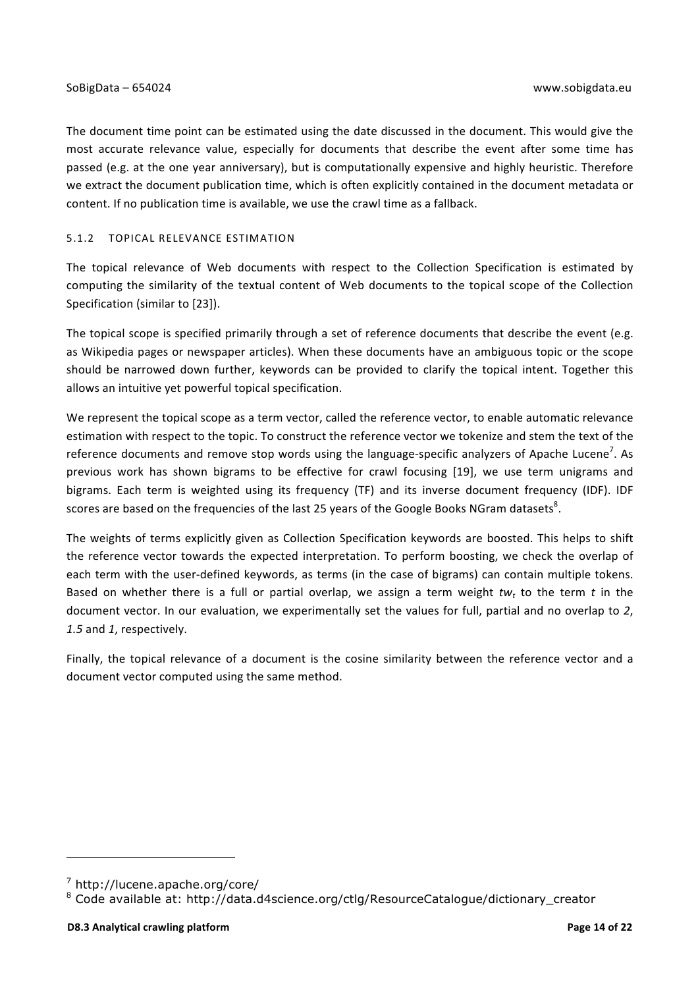The document time point can be estimated using the date discussed in the document. This would give the most accurate relevance value, especially for documents that describe the event after some time has passed (e.g. at the one year anniversary), but is computationally expensive and highly heuristic. Therefore we extract the document publication time, which is often explicitly contained in the document metadata or content. If no publication time is available, we use the crawl time as a fallback.

#### 5.1.2 TOPICAL RELEVANCE ESTIMATION

The topical relevance of Web documents with respect to the Collection Specification is estimated by computing the similarity of the textual content of Web documents to the topical scope of the Collection Specification (similar to [23]).

The topical scope is specified primarily through a set of reference documents that describe the event (e.g. as Wikipedia pages or newspaper articles). When these documents have an ambiguous topic or the scope should be narrowed down further, keywords can be provided to clarify the topical intent. Together this allows an intuitive yet powerful topical specification.

We represent the topical scope as a term vector, called the reference vector, to enable automatic relevance estimation with respect to the topic. To construct the reference vector we tokenize and stem the text of the reference documents and remove stop words using the language-specific analyzers of Apache Lucene<sup>7</sup>. As previous work has shown bigrams to be effective for crawl focusing [19], we use term unigrams and bigrams. Each term is weighted using its frequency (TF) and its inverse document frequency (IDF). IDF scores are based on the frequencies of the last 25 years of the Google Books NGram datasets<sup>8</sup>.

The weights of terms explicitly given as Collection Specification keywords are boosted. This helps to shift the reference vector towards the expected interpretation. To perform boosting, we check the overlap of each term with the user-defined keywords, as terms (in the case of bigrams) can contain multiple tokens. Based on whether there is a full or partial overlap, we assign a term weight  $tw_t$  to the term  $t$  in the document vector. In our evaluation, we experimentally set the values for full, partial and no overlap to 2, 1.5 and 1, respectively.

Finally, the topical relevance of a document is the cosine similarity between the reference vector and a document vector computed using the same method.

 

<sup>7</sup> http://lucene.apache.org/core/

<sup>8</sup> Code available at: http://data.d4science.org/ctlg/ResourceCatalogue/dictionary\_creator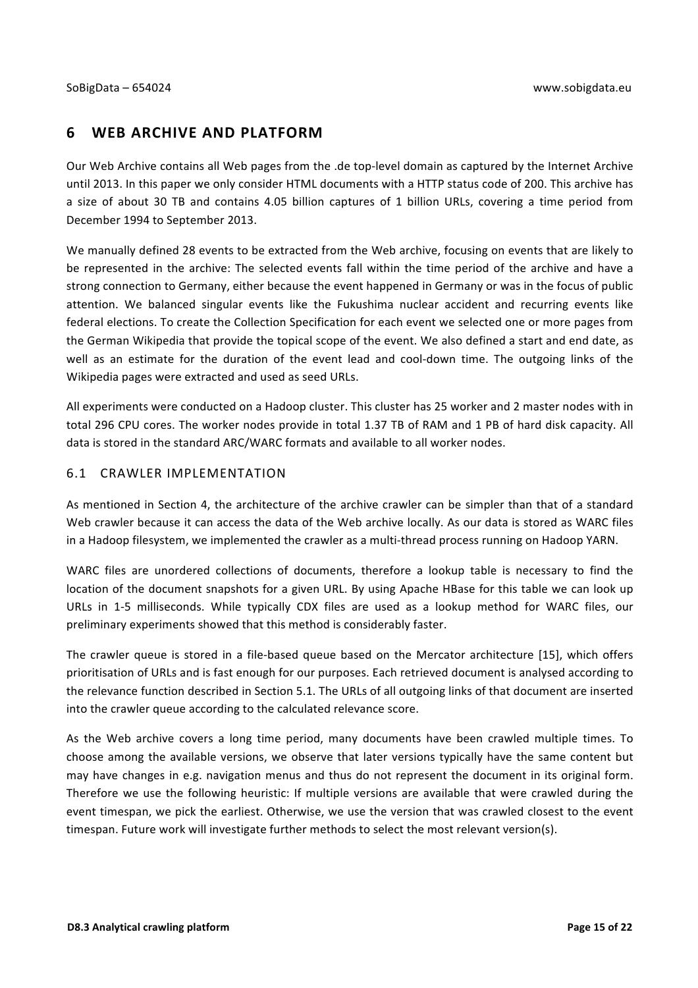### **6 WEB ARCHIVE AND PLATFORM**

Our Web Archive contains all Web pages from the .de top-level domain as captured by the Internet Archive until 2013. In this paper we only consider HTML documents with a HTTP status code of 200. This archive has a size of about 30 TB and contains 4.05 billion captures of 1 billion URLs, covering a time period from December 1994 to September 2013.

We manually defined 28 events to be extracted from the Web archive, focusing on events that are likely to be represented in the archive: The selected events fall within the time period of the archive and have a strong connection to Germany, either because the event happened in Germany or was in the focus of public attention. We balanced singular events like the Fukushima nuclear accident and recurring events like federal elections. To create the Collection Specification for each event we selected one or more pages from the German Wikipedia that provide the topical scope of the event. We also defined a start and end date, as well as an estimate for the duration of the event lead and cool-down time. The outgoing links of the Wikipedia pages were extracted and used as seed URLs.

All experiments were conducted on a Hadoop cluster. This cluster has 25 worker and 2 master nodes with in total 296 CPU cores. The worker nodes provide in total 1.37 TB of RAM and 1 PB of hard disk capacity. All data is stored in the standard ARC/WARC formats and available to all worker nodes.

#### 6.1 CRAWLER IMPLEMENTATION

As mentioned in Section 4, the architecture of the archive crawler can be simpler than that of a standard Web crawler because it can access the data of the Web archive locally. As our data is stored as WARC files in a Hadoop filesystem, we implemented the crawler as a multi-thread process running on Hadoop YARN.

WARC files are unordered collections of documents, therefore a lookup table is necessary to find the location of the document snapshots for a given URL. By using Apache HBase for this table we can look up URLs in 1-5 milliseconds. While typically CDX files are used as a lookup method for WARC files, our preliminary experiments showed that this method is considerably faster.

The crawler queue is stored in a file-based queue based on the Mercator architecture [15], which offers prioritisation of URLs and is fast enough for our purposes. Each retrieved document is analysed according to the relevance function described in Section 5.1. The URLs of all outgoing links of that document are inserted into the crawler queue according to the calculated relevance score.

As the Web archive covers a long time period, many documents have been crawled multiple times. To choose among the available versions, we observe that later versions typically have the same content but may have changes in e.g. navigation menus and thus do not represent the document in its original form. Therefore we use the following heuristic: If multiple versions are available that were crawled during the event timespan, we pick the earliest. Otherwise, we use the version that was crawled closest to the event timespan. Future work will investigate further methods to select the most relevant version(s).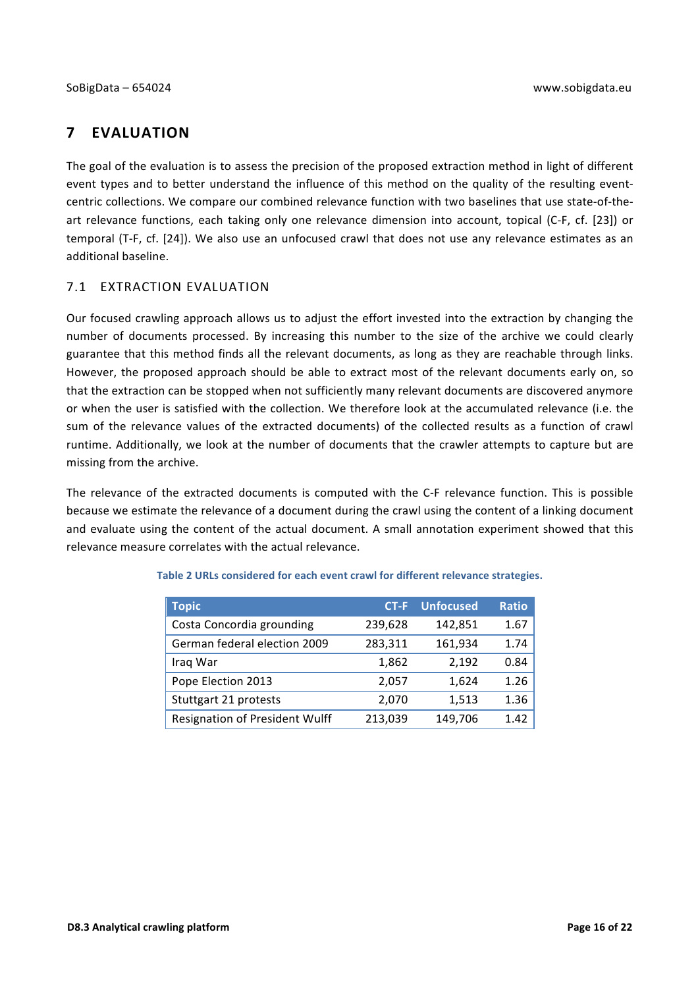## **7 EVALUATION**

The goal of the evaluation is to assess the precision of the proposed extraction method in light of different event types and to better understand the influence of this method on the quality of the resulting eventcentric collections. We compare our combined relevance function with two baselines that use state-of-theart relevance functions, each taking only one relevance dimension into account, topical (C-F, cf. [23]) or temporal (T-F, cf. [24]). We also use an unfocused crawl that does not use any relevance estimates as an additional baseline.

#### 7.1 **EXTRACTION EVALUATION**

Our focused crawling approach allows us to adjust the effort invested into the extraction by changing the number of documents processed. By increasing this number to the size of the archive we could clearly guarantee that this method finds all the relevant documents, as long as they are reachable through links. However, the proposed approach should be able to extract most of the relevant documents early on, so that the extraction can be stopped when not sufficiently many relevant documents are discovered anymore or when the user is satisfied with the collection. We therefore look at the accumulated relevance (i.e. the sum of the relevance values of the extracted documents) of the collected results as a function of crawl runtime. Additionally, we look at the number of documents that the crawler attempts to capture but are missing from the archive.

The relevance of the extracted documents is computed with the C-F relevance function. This is possible because we estimate the relevance of a document during the crawl using the content of a linking document and evaluate using the content of the actual document. A small annotation experiment showed that this relevance measure correlates with the actual relevance.

| <b>Topic</b>                          | $CT-F$  | <b>Unfocused</b> | <b>Ratio</b> |
|---------------------------------------|---------|------------------|--------------|
| Costa Concordia grounding             | 239,628 | 142,851          | 1.67         |
| German federal election 2009          | 283,311 | 161,934          | 1.74         |
| Iraq War                              | 1,862   | 2,192            | 0.84         |
| Pope Election 2013                    | 2,057   | 1,624            | 1.26         |
| Stuttgart 21 protests                 | 2,070   | 1,513            | 1.36         |
| <b>Resignation of President Wulff</b> | 213,039 | 149,706          | 1.42         |

#### **Table 2 URLs considered for each event crawl for different relevance strategies.**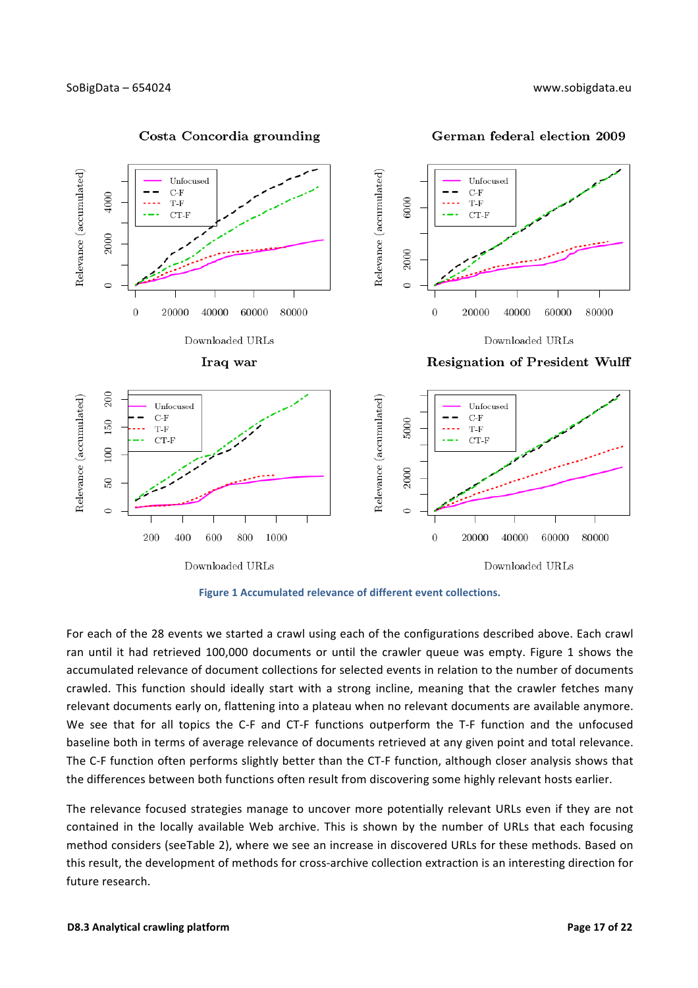

#### Costa Concordia grounding

#### German federal election 2009

**Figure 1 Accumulated relevance of different event collections.** 

For each of the 28 events we started a crawl using each of the configurations described above. Each crawl ran until it had retrieved 100,000 documents or until the crawler queue was empty. Figure 1 shows the accumulated relevance of document collections for selected events in relation to the number of documents crawled. This function should ideally start with a strong incline, meaning that the crawler fetches many relevant documents early on, flattening into a plateau when no relevant documents are available anymore. We see that for all topics the C-F and CT-F functions outperform the T-F function and the unfocused baseline both in terms of average relevance of documents retrieved at any given point and total relevance. The C-F function often performs slightly better than the CT-F function, although closer analysis shows that the differences between both functions often result from discovering some highly relevant hosts earlier.

The relevance focused strategies manage to uncover more potentially relevant URLs even if they are not contained in the locally available Web archive. This is shown by the number of URLs that each focusing method considers (seeTable 2), where we see an increase in discovered URLs for these methods. Based on this result, the development of methods for cross-archive collection extraction is an interesting direction for future research.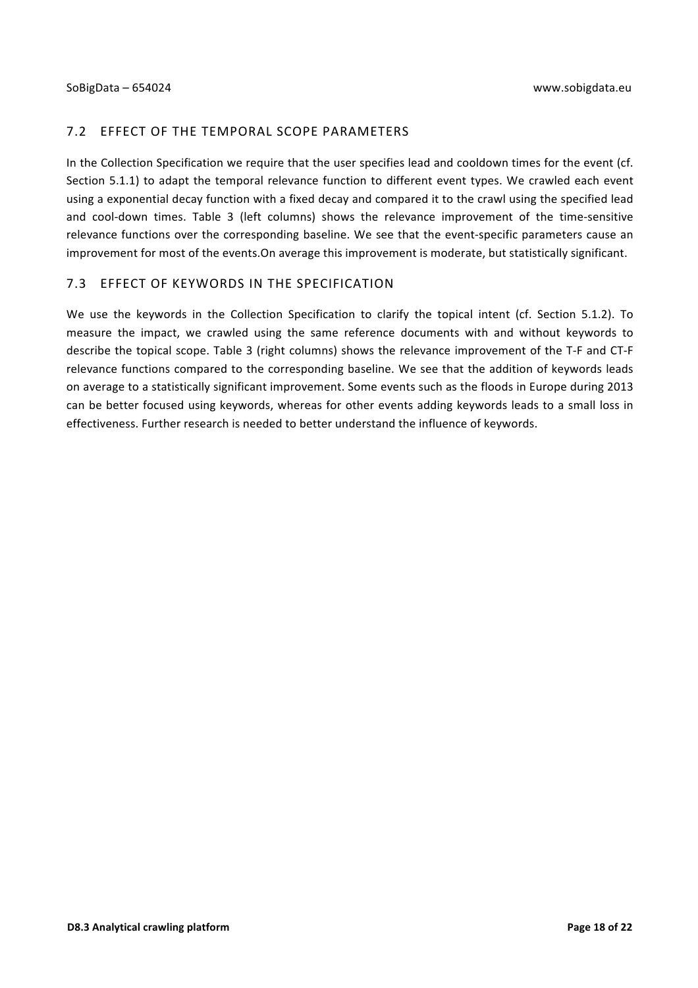#### 7.2 EFFECT OF THE TEMPORAL SCOPE PARAMETERS

In the Collection Specification we require that the user specifies lead and cooldown times for the event (cf. Section 5.1.1) to adapt the temporal relevance function to different event types. We crawled each event using a exponential decay function with a fixed decay and compared it to the crawl using the specified lead and cool-down times. Table 3 (left columns) shows the relevance improvement of the time-sensitive relevance functions over the corresponding baseline. We see that the event-specific parameters cause an improvement for most of the events. On average this improvement is moderate, but statistically significant.

#### 7.3 EFFECT OF KEYWORDS IN THE SPECIFICATION

We use the keywords in the Collection Specification to clarify the topical intent (cf. Section 5.1.2). To measure the impact, we crawled using the same reference documents with and without keywords to describe the topical scope. Table 3 (right columns) shows the relevance improvement of the T-F and CT-F relevance functions compared to the corresponding baseline. We see that the addition of keywords leads on average to a statistically significant improvement. Some events such as the floods in Europe during 2013 can be better focused using keywords, whereas for other events adding keywords leads to a small loss in effectiveness. Further research is needed to better understand the influence of keywords.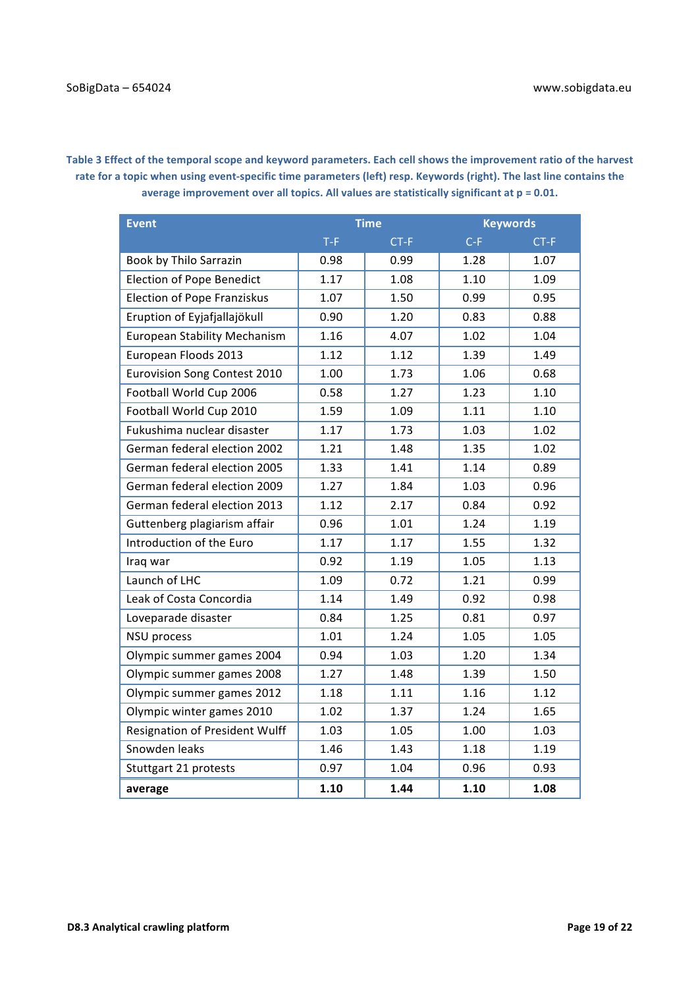Table 3 Effect of the temporal scope and keyword parameters. Each cell shows the improvement ratio of the harvest rate for a topic when using event-specific time parameters (left) resp. Keywords (right). The last line contains the average improvement over all topics. All values are statistically significant at  $p = 0.01$ .

| <b>Event</b>                        | <b>Time</b> |      | <b>Keywords</b> |      |
|-------------------------------------|-------------|------|-----------------|------|
|                                     | $T-F$       | CT-F | $C-F$           | CT-F |
| Book by Thilo Sarrazin              | 0.98        | 0.99 | 1.28            | 1.07 |
| <b>Election of Pope Benedict</b>    | 1.17        | 1.08 | 1.10            | 1.09 |
| Election of Pope Franziskus         | 1.07        | 1.50 | 0.99            | 0.95 |
| Eruption of Eyjafjallajökull        | 0.90        | 1.20 | 0.83            | 0.88 |
| <b>European Stability Mechanism</b> | 1.16        | 4.07 | 1.02            | 1.04 |
| European Floods 2013                | 1.12        | 1.12 | 1.39            | 1.49 |
| <b>Eurovision Song Contest 2010</b> | 1.00        | 1.73 | 1.06            | 0.68 |
| Football World Cup 2006             | 0.58        | 1.27 | 1.23            | 1.10 |
| Football World Cup 2010             | 1.59        | 1.09 | 1.11            | 1.10 |
| Fukushima nuclear disaster          | 1.17        | 1.73 | 1.03            | 1.02 |
| German federal election 2002        | 1.21        | 1.48 | 1.35            | 1.02 |
| German federal election 2005        | 1.33        | 1.41 | 1.14            | 0.89 |
| German federal election 2009        | 1.27        | 1.84 | 1.03            | 0.96 |
| German federal election 2013        | 1.12        | 2.17 | 0.84            | 0.92 |
| Guttenberg plagiarism affair        | 0.96        | 1.01 | 1.24            | 1.19 |
| Introduction of the Euro            | 1.17        | 1.17 | 1.55            | 1.32 |
| Iraq war                            | 0.92        | 1.19 | 1.05            | 1.13 |
| Launch of LHC                       | 1.09        | 0.72 | 1.21            | 0.99 |
| Leak of Costa Concordia             | 1.14        | 1.49 | 0.92            | 0.98 |
| Loveparade disaster                 | 0.84        | 1.25 | 0.81            | 0.97 |
| <b>NSU process</b>                  | 1.01        | 1.24 | 1.05            | 1.05 |
| Olympic summer games 2004           | 0.94        | 1.03 | 1.20            | 1.34 |
| Olympic summer games 2008           | 1.27        | 1.48 | 1.39            | 1.50 |
| Olympic summer games 2012           | 1.18        | 1.11 | 1.16            | 1.12 |
| Olympic winter games 2010           | 1.02        | 1.37 | 1.24            | 1.65 |
| Resignation of President Wulff      | 1.03        | 1.05 | 1.00            | 1.03 |
| Snowden leaks                       | 1.46        | 1.43 | 1.18            | 1.19 |
| Stuttgart 21 protests               | 0.97        | 1.04 | 0.96            | 0.93 |
| average                             | 1.10        | 1.44 | 1.10            | 1.08 |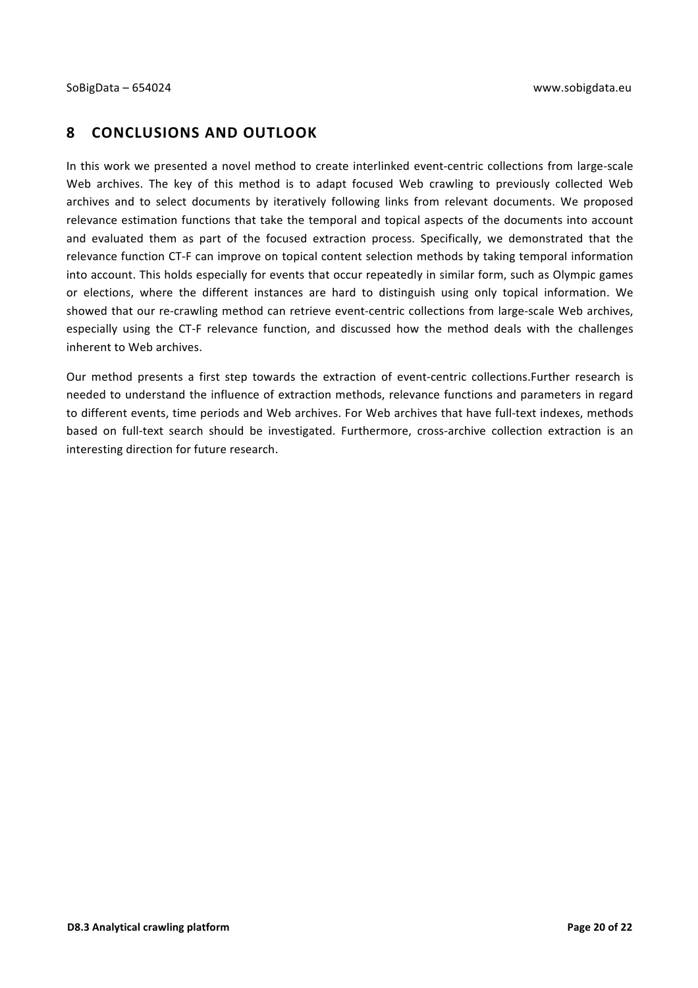### **8 CONCLUSIONS AND OUTLOOK**

In this work we presented a novel method to create interlinked event-centric collections from large-scale Web archives. The key of this method is to adapt focused Web crawling to previously collected Web archives and to select documents by iteratively following links from relevant documents. We proposed relevance estimation functions that take the temporal and topical aspects of the documents into account and evaluated them as part of the focused extraction process. Specifically, we demonstrated that the relevance function CT-F can improve on topical content selection methods by taking temporal information into account. This holds especially for events that occur repeatedly in similar form, such as Olympic games or elections, where the different instances are hard to distinguish using only topical information. We showed that our re-crawling method can retrieve event-centric collections from large-scale Web archives, especially using the CT-F relevance function, and discussed how the method deals with the challenges inherent to Web archives.

Our method presents a first step towards the extraction of event-centric collections.Further research is needed to understand the influence of extraction methods, relevance functions and parameters in regard to different events, time periods and Web archives. For Web archives that have full-text indexes, methods based on full-text search should be investigated. Furthermore, cross-archive collection extraction is an interesting direction for future research.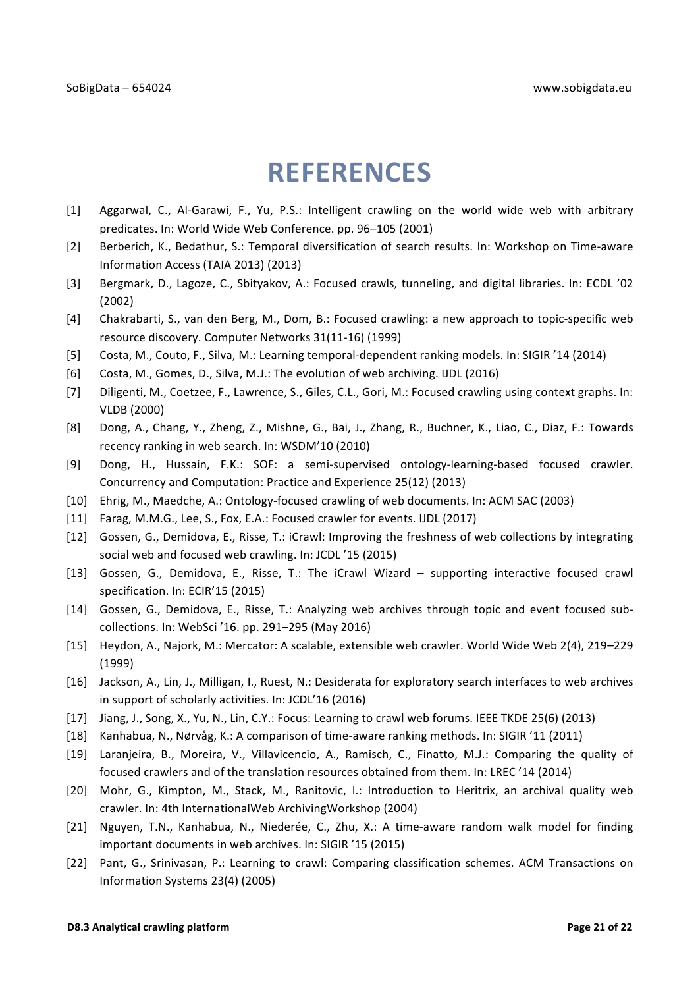## **REFERENCES**

- [1] Aggarwal, C., Al-Garawi, F., Yu, P.S.: Intelligent crawling on the world wide web with arbitrary predicates. In: World Wide Web Conference. pp. 96-105 (2001)
- [2] Berberich, K., Bedathur, S.: Temporal diversification of search results. In: Workshop on Time-aware Information Access (TAIA 2013) (2013)
- [3] Bergmark, D., Lagoze, C., Sbityakov, A.: Focused crawls, tunneling, and digital libraries. In: ECDL '02 (2002)
- [4] Chakrabarti, S., van den Berg, M., Dom, B.: Focused crawling: a new approach to topic-specific web resource discovery. Computer Networks 31(11-16) (1999)
- [5] Costa, M., Couto, F., Silva, M.: Learning temporal-dependent ranking models. In: SIGIR '14 (2014)
- [6] Costa, M., Gomes, D., Silva, M.J.: The evolution of web archiving. IJDL (2016)
- [7] Diligenti, M., Coetzee, F., Lawrence, S., Giles, C.L., Gori, M.: Focused crawling using context graphs. In: VLDB (2000)
- [8] Dong, A., Chang, Y., Zheng, Z., Mishne, G., Bai, J., Zhang, R., Buchner, K., Liao, C., Diaz, F.: Towards recency ranking in web search. In: WSDM'10 (2010)
- [9] Dong, H., Hussain, F.K.: SOF: a semi-supervised ontology-learning-based focused crawler. Concurrency and Computation: Practice and Experience 25(12) (2013)
- [10] Ehrig, M., Maedche, A.: Ontology-focused crawling of web documents. In: ACM SAC (2003)
- [11] Farag, M.M.G., Lee, S., Fox, E.A.: Focused crawler for events. IJDL (2017)
- [12] Gossen, G., Demidova, E., Risse, T.: iCrawl: Improving the freshness of web collections by integrating social web and focused web crawling. In: JCDL '15 (2015)
- [13] Gossen, G., Demidova, E., Risse, T.: The iCrawl Wizard supporting interactive focused crawl specification. In: ECIR'15 (2015)
- [14] Gossen, G., Demidova, E., Risse, T.: Analyzing web archives through topic and event focused subcollections. In: WebSci '16. pp. 291–295 (May 2016)
- [15] Heydon, A., Najork, M.: Mercator: A scalable, extensible web crawler. World Wide Web 2(4), 219–229 (1999)
- [16] Jackson, A., Lin, J., Milligan, I., Ruest, N.: Desiderata for exploratory search interfaces to web archives in support of scholarly activities. In: JCDL'16 (2016)
- [17] Jiang, J., Song, X., Yu, N., Lin, C.Y.: Focus: Learning to crawl web forums. IEEE TKDE 25(6) (2013)
- [18] Kanhabua, N., Nørvåg, K.: A comparison of time-aware ranking methods. In: SIGIR '11 (2011)
- [19] Laranjeira, B., Moreira, V., Villavicencio, A., Ramisch, C., Finatto, M.J.: Comparing the quality of focused crawlers and of the translation resources obtained from them. In: LREC '14 (2014)
- [20] Mohr, G., Kimpton, M., Stack, M., Ranitovic, I.: Introduction to Heritrix, an archival quality web crawler. In: 4th InternationalWeb ArchivingWorkshop (2004)
- [21] Nguyen, T.N., Kanhabua, N., Niederée, C., Zhu, X.: A time-aware random walk model for finding important documents in web archives. In: SIGIR '15 (2015)
- [22] Pant, G., Srinivasan, P.: Learning to crawl: Comparing classification schemes. ACM Transactions on Information Systems 23(4) (2005)